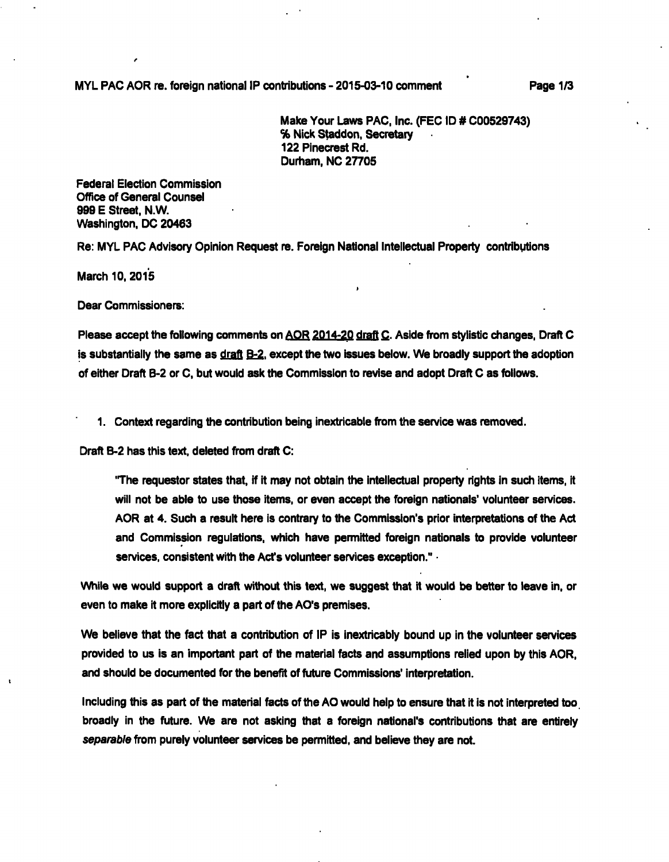**MYL PAC AOR re. foreign national IP contributions - 2015-03-10 comment Page 1/3** 

**Make Your Laws PAC, inc. (PEG ID # C00529743) % Nick Staddon, Secretary**   $\sim 10$ **122 Pinecrest Rd. Durtiam, NO 27705** 

**Federai Election Commission Office of General Counsel 999 E Street, N.W. Washington, DC 20463** 

**Re: MYL PAC Advisory Opinion Request re. Foreign National Intellectual Property contributions** 

**March 10, 2015** 

**Dear Commissioners:** 

Please accept the following comments on AOR 2014-20 draft C. Aside from stylistic changes, Draft C **is substantially the same as draft B-2. except the two issues below. We broadly support the adoption of either Draft B-2 or C, but would ask the Commission to revise and adopt Draft C as follows.** 

I

**1. Context regarding the contribution being inextricable from the service was removed.** 

**Draft B-2 has this text, deleted from draft C:** 

**'The requestor states that, if it may not obtain the inteiiectuai property rights in such items, it**  will not be able to use those items, or even accept the foreign nationals' volunteer services. **AOR at 4. Such a result here is contrary to the Commission's prior interpretations of the Act and Commission regulations, which have permitted foreign nationals to provide volunteer services, consistent with the Act's volunteer services exception."** 

**While we would support a draft without this text, we suggest that it would be better to leave in, or even to make it more explicitly a part of the AO's premises.** 

**We believe that the fact that a contribution of IP is inextricably bound up in the volunteer services provided to us is an important part of the material facts and assumptions relied upon by this AOR, and should be documented for the benefit of future Commissions' interpretation.** 

**Including this as part of the material facts of the AO would help to ensure that it is not interpreted too broadly in the future. We are not asking that a foreign national's contributions that are entirely**  separable from purely volunteer services be permitted, and believe they are not.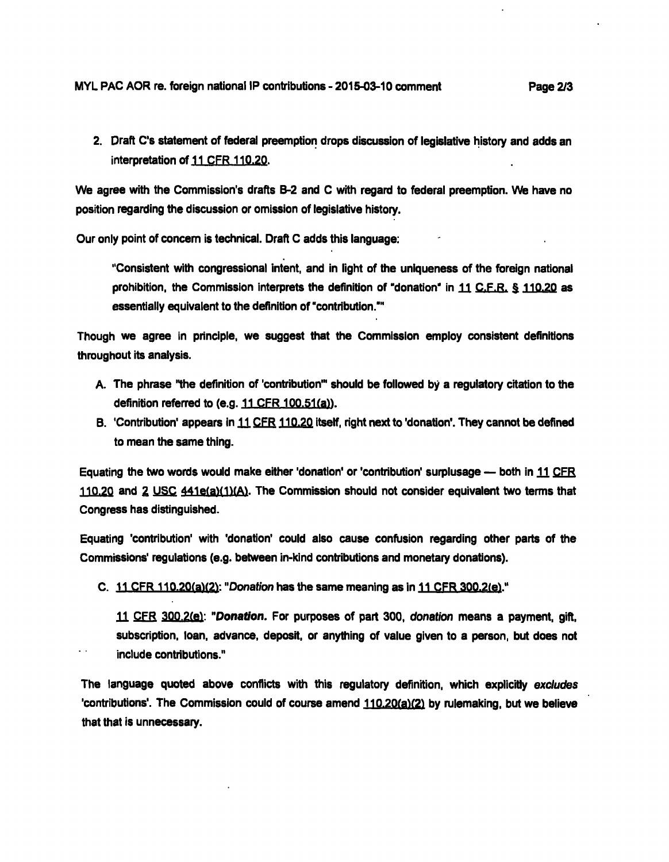**2. Draft C's statement of federal preemption drops discussion of legislative history and adds an interpretation of 11 CFR 110.20.** 

**We agree with the Commission's drafts B-2 and C with regard to federal preemption. We have no position regarding the discussion or omission of legislative history.** 

**Our only point of concem Is technical. Draft C adds this language:** 

**"Consistent with congressional Intent, and In light of the uniqueness of the foreign national prohibition, the Commission interprets the definition of "donation' in H C.F.R. § 110.20 as essentially equivalent to the definition of "contribution."'** 

**Though we agree In principle, we suggest that the Commission employ consistent definitions throughout Its analysis.** 

- **A. The phrase "the definition of 'contribution'" should be followed by a regulatory citation to the**  definition referred to (e.g. 11 CFR 100.51(a)).
- B. 'Contribution' appears in 11 CFR 110.20 itself, right next to 'donation'. They cannot be defined **to mean the same thing.**

**Equating the two words would make either 'donation' or 'contribution' surplusage — both in 11 CFR 110.20 and 2 USC 44le(a)(l1(AV The Commission should not consider equivalent two terms that Congress has distinguished.** 

**Equating 'contribution' with 'donation' could also cause confusion regarding other parts of the Commissions' regulations (e.g. between In-kind contributions and monetary donations).** 

C. 11 CFR 110.20(a)(2): "Donation has the same meaning as in 11 CFR 300.2(e)."

11 CFR 300.2(e): "Donation. For purposes of part 300, donation means a payment, gift, **subscription, loan, advance, deposit, or anything of value given to a person, but does not Include contributions."** 

**The language quoted above conflicts with this regulatory definition, which explicitly excludes**  'contributions'. The Commission could of course amend 110.20(a)(2) by rulemaking, but we believe **that that Is unnecessary.**